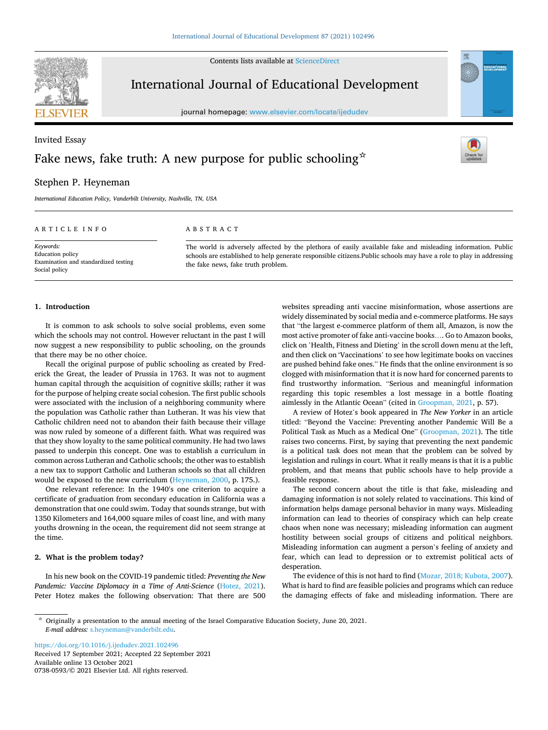Contents lists available at [ScienceDirect](www.sciencedirect.com/science/journal/07380593)



International Journal of Educational Development

journal homepage: [www.elsevier.com/locate/ijedudev](https://www.elsevier.com/locate/ijedudev)

# Invited Essay Fake news, fake truth: A new purpose for public schooling  $\hat{z}$



**EDUCATIONA**<br>DEVELOPMEN

## Stephen P. Heyneman

*International Education Policy, Vanderbilt University, Nashville, TN, USA* 

### ARTICLE INFO

*Keywords:*  Education policy Examination and standardized testing Social policy

#### ABSTRACT

The world is adversely affected by the plethora of easily available fake and misleading information. Public schools are established to help generate responsible citizens.Public schools may have a role to play in addressing the fake news, fake truth problem.

## **1. Introduction**

It is common to ask schools to solve social problems, even some which the schools may not control. However reluctant in the past I will now suggest a new responsibility to public schooling, on the grounds that there may be no other choice.

Recall the original purpose of public schooling as created by Frederick the Great, the leader of Prussia in 1763. It was not to augment human capital through the acquisition of cognitive skills; rather it was for the purpose of helping create social cohesion. The first public schools were associated with the inclusion of a neighboring community where the population was Catholic rather than Lutheran. It was his view that Catholic children need not to abandon their faith because their village was now ruled by someone of a different faith. What was required was that they show loyalty to the same political community. He had two laws passed to underpin this concept. One was to establish a curriculum in common across Lutheran and Catholic schools; the other was to establish a new tax to support Catholic and Lutheran schools so that all children would be exposed to the new curriculum ([Heyneman, 2000](#page-3-0), p. 175.).

One relevant reference: In the 1940′ s one criterion to acquire a certificate of graduation from secondary education in California was a demonstration that one could swim. Today that sounds strange, but with 1350 Kilometers and 164,000 square miles of coast line, and with many youths drowning in the ocean, the requirement did not seem strange at the time.

## **2. What is the problem today?**

In his new book on the COVID-19 pandemic titled: *Preventing the New*  Pandemic: Vaccine Diplomacy in a Time of Anti-Science [\(Hotez, 2021](#page-3-0)). Peter Hotez makes the following observation: That there are 500

websites spreading anti vaccine misinformation, whose assertions are widely disseminated by social media and e-commerce platforms. He says that "the largest e-commerce platform of them all, Amazon, is now the most active promoter of fake anti-vaccine books…. Go to Amazon books, click on 'Health, Fitness and Dieting' in the scroll down menu at the left, and then click on 'Vaccinations' to see how legitimate books on vaccines are pushed behind fake ones." He finds that the online environment is so clogged with misinformation that it is now hard for concerned parents to find trustworthy information. "Serious and meaningful information regarding this topic resembles a lost message in a bottle floating aimlessly in the Atlantic Ocean" (cited in [Groopman, 2021](#page-3-0), p. 57).

A review of Hotez's book appeared in *The New Yorker* in an article titled: "Beyond the Vaccine: Preventing another Pandemic Will Be a Political Task as Much as a Medical One" ([Groopman, 2021\)](#page-3-0). The title raises two concerns. First, by saying that preventing the next pandemic is a political task does not mean that the problem can be solved by legislation and rulings in court. What it really means is that it is a public problem, and that means that public schools have to help provide a feasible response.

The second concern about the title is that fake, misleading and damaging information is not solely related to vaccinations. This kind of information helps damage personal behavior in many ways. Misleading information can lead to theories of conspiracy which can help create chaos when none was necessary; misleading information can augment hostility between social groups of citizens and political neighbors. Misleading information can augment a person's feeling of anxiety and fear, which can lead to depression or to extremist political acts of desperation.

The evidence of this is not hard to find ([Mozar, 2018; Kubota, 2007](#page-3-0)). What is hard to find are feasible policies and programs which can reduce the damaging effects of fake and misleading information. There are

Available online 13 October 2021 0738-0593/© 2021 Elsevier Ltd. All rights reserved. <https://doi.org/10.1016/j.ijedudev.2021.102496> Received 17 September 2021; Accepted 22 September 2021

<sup>☆</sup> Originally a presentation to the annual meeting of the Israel Comparative Education Society, June 20, 2021. *E-mail address:* [s.heyneman@vanderbilt.edu.](mailto:s.heyneman@vanderbilt.edu)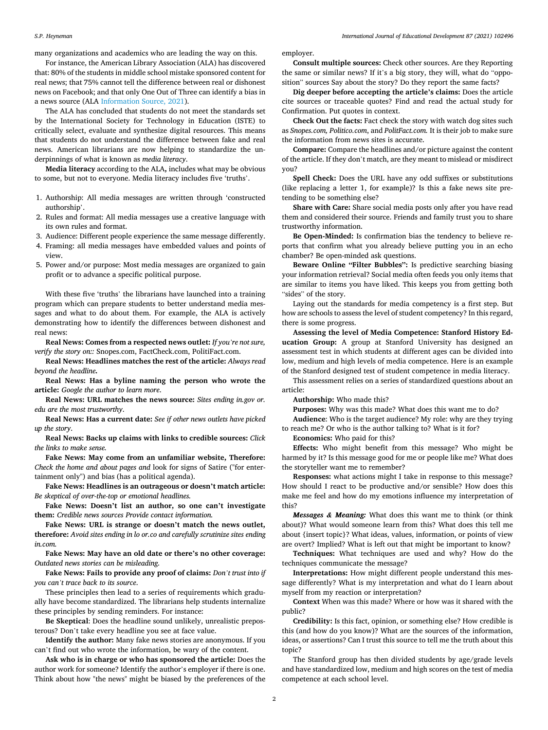many organizations and academics who are leading the way on this.

For instance, the American Library Association (ALA) has discovered that: 80% of the students in middle school mistake sponsored content for real news; that 75% cannot tell the difference between real or dishonest news on Facebook; and that only One Out of Three can identify a bias in a news source (ALA [Information Source, 2021\)](#page-3-0).

The ALA has concluded that students do not meet the standards set by the International Society for Technology in Education (ISTE) to critically select, evaluate and synthesize digital resources. This means that students do not understand the difference between fake and real news. American librarians are now helping to standardize the underpinnings of what is known as *media literacy*.

**Media literacy** according to the ALA**,** includes what may be obvious to some, but not to everyone. Media literacy includes five 'truths'.

- 1. Authorship: All media messages are written through 'constructed authorship'.
- 2. Rules and format: All media messages use a creative language with its own rules and format.

3. Audience: Different people experience the same message differently.

- 4. Framing: all media messages have embedded values and points of view.
- 5. Power and/or purpose: Most media messages are organized to gain profit or to advance a specific political purpose.

With these five 'truths' the librarians have launched into a training program which can prepare students to better understand media messages and what to do about them. For example, the ALA is actively demonstrating how to identify the differences between dishonest and real news:

**Real News: Comes from a respected news outlet:** *If you're not sure, verify the story on::* Snopes.com, FactCheck.com, PolitiFact.com.

**Real News: Headlines matches the rest of the article:** *Always read beyond the headline.* 

**Real News: Has a byline naming the person who wrote the article:** *Google the author to learn more*.

**Real News: URL matches the news source:** *Sites ending in.gov or. edu are the most trustworthy*.

**Real News: Has a current date:** *See if other news outlets have picked up the story*.

**Real News: Backs up claims with links to credible sources:** *Click the links to make sense.* 

**Fake News: May come from an unfamiliar website, Therefore:**  *Check the home and about pages and* look for signs of Satire ("for entertainment only") and bias (has a political agenda).

**Fake News: Headlines is an outrageous or doesn't match article:**  *Be skeptical of over-the-top or emotional headlines.* 

**Fake News: Doesn't list an author, so one can't investigate them:** *Credible news sources Provide contact information.* 

**Fake News: URL is strange or doesn't match the news outlet, therefore:** *Avoid sites ending in lo or.co and carefully scrutinize sites ending in.com.* 

**Fake News: May have an old date or there's no other coverage:**  *Outdated news stories can be misleading*.

**Fake News: Fails to provide any proof of claims:** *Don't trust into if you can't trace back to its source*.

These principles then lead to a series of requirements which gradually have become standardized. The librarians help students internalize these principles by sending reminders. For instance:

**Be Skeptical**: Does the headline sound unlikely, unrealistic preposterous? Don't take every headline you see at face value.

**Identify the author:** Many fake news stories are anonymous. If you can't find out who wrote the information, be wary of the content.

**Ask who is in charge or who has sponsored the article:** Does the author work for someone? Identify the author's employer if there is one. Think about how "the news" might be biased by the preferences of the

employer.

**Consult multiple sources:** Check other sources. Are they Reporting the same or similar news? If it's a big story, they will, what do "opposition" sources Say about the story? Do they report the same facts?

**Dig deeper before accepting the article's claims:** Does the article cite sources or traceable quotes? Find and read the actual study for Confirmation. Put quotes in context.

**Check Out the facts:** Fact check the story with watch dog sites such as *Snopes.com, Politico.com*, and *PolitFact.com.* It is their job to make sure the information from news sites is accurate.

**Compare:** Compare the headlines and/or picture against the content of the article. If they don't match, are they meant to mislead or misdirect you?

**Spell Check:** Does the URL have any odd suffixes or substitutions (like replacing a letter 1, for example)? Is this a fake news site pretending to be something else?

**Share with Care:** Share social media posts only after you have read them and considered their source. Friends and family trust you to share trustworthy information.

**Be Open-Minded:** Is confirmation bias the tendency to believe reports that confirm what you already believe putting you in an echo chamber? Be open-minded ask questions.

**Beware Online "Filter Bubbles":** Is predictive searching biasing your information retrieval? Social media often feeds you only items that are similar to items you have liked. This keeps you from getting both "sides" of the story.

Laying out the standards for media competency is a first step. But how are schools to assess the level of student competency? In this regard, there is some progress.

**Assessing the level of Media Competence: Stanford History Education Group:** A group at Stanford University has designed an assessment test in which students at different ages can be divided into low, medium and high levels of media competence. Here is an example of the Stanford designed test of student competence in media literacy.

This assessment relies on a series of standardized questions about an article:

**Authorship:** Who made this?

**Purposes:** Why was this made? What does this want me to do?

**Audience**: Who is the target audience? My role: why are they trying to reach me? Or who is the author talking to? What is it for?

**Economics:** Who paid for this?

**Effects:** Who might benefit from this message? Who might be harmed by it? Is this message good for me or people like me? What does the storyteller want me to remember?

**Responses:** what actions might I take in response to this message? How should I react to be productive and/or sensible? How does this make me feel and how do my emotions influence my interpretation of this?

*Messages & Meaning:* What does this want me to think (or think about)? What would someone learn from this? What does this tell me about {insert topic}? What ideas, values, information, or points of view are overt? Implied? What is left out that might be important to know?

**Techniques:** What techniques are used and why? How do the techniques communicate the message?

**Interpretations:** How might different people understand this message differently? What is my interpretation and what do I learn about myself from my reaction or interpretation?

**Context** When was this made? Where or how was it shared with the public?

**Credibility:** Is this fact, opinion, or something else? How credible is this (and how do you know)? What are the sources of the information, ideas, or assertions? Can I trust this source to tell me the truth about this topic?

The Stanford group has then divided students by age/grade levels and have standardized low, medium and high scores on the test of media competence at each school level.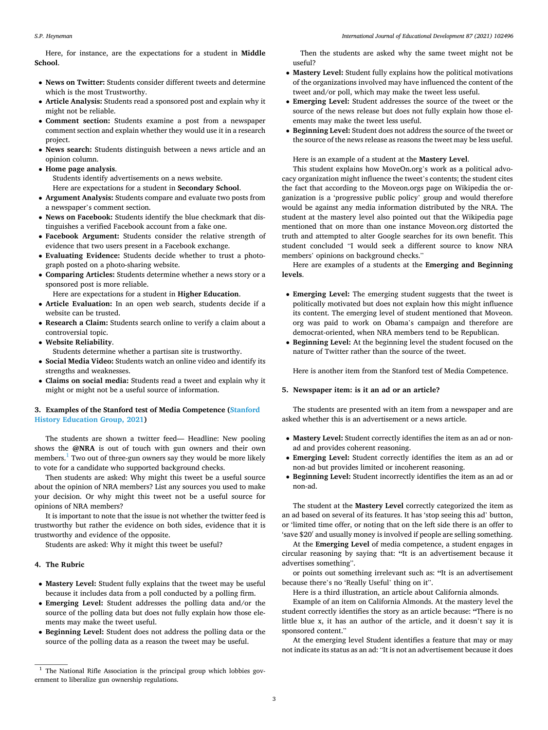Here, for instance, are the expectations for a student in **Middle School**.

- **News on Twitter:** Students consider different tweets and determine which is the most Trustworthy.
- **Article Analysis:** Students read a sponsored post and explain why it might not be reliable.
- **Comment section:** Students examine a post from a newspaper comment section and explain whether they would use it in a research project.
- **News search:** Students distinguish between a news article and an opinion column.
- **Home page analysis**. Students identify advertisements on a news website. Here are expectations for a student in **Secondary School**.
- **Argument Analysis:** Students compare and evaluate two posts from a newspaper's comment section.
- **News on Facebook:** Students identify the blue checkmark that distinguishes a verified Facebook account from a fake one.
- **Facebook Argument:** Students consider the relative strength of evidence that two users present in a Facebook exchange.
- **Evaluating Evidence:** Students decide whether to trust a photograph posted on a photo-sharing website.
- **Comparing Articles:** Students determine whether a news story or a sponsored post is more reliable.

Here are expectations for a student in **Higher Education**.

- **Article Evaluation:** In an open web search, students decide if a website can be trusted.
- **Research a Claim:** Students search online to verify a claim about a controversial topic.
- **Website Reliability**.
	- Students determine whether a partisan site is trustworthy.
- **Social Media Video:** Students watch an online video and identify its strengths and weaknesses.
- **Claims on social media:** Students read a tweet and explain why it might or might not be a useful source of information.

## **3. Examples of the Stanford test of Media Competence [\(Stanford](#page-3-0)  [History Education Group, 2021\)](#page-3-0)**

The students are shown a twitter feed— Headline: New pooling shows the **@NRA** is out of touch with gun owners and their own members.<sup>1</sup> Two out of three-gun owners say they would be more likely to vote for a candidate who supported background checks.

Then students are asked: Why might this tweet be a useful source about the opinion of NRA members? List any sources you used to make your decision. Or why might this tweet not be a useful source for opinions of NRA members?

It is important to note that the issue is not whether the twitter feed is trustworthy but rather the evidence on both sides, evidence that it is trustworthy and evidence of the opposite.

Students are asked: Why it might this tweet be useful?

## **4. The Rubric**

- **Mastery Level:** Student fully explains that the tweet may be useful because it includes data from a poll conducted by a polling firm.
- **Emerging Level:** Student addresses the polling data and/or the source of the polling data but does not fully explain how those elements may make the tweet useful.
- **Beginning Level:** Student does not address the polling data or the source of the polling data as a reason the tweet may be useful.

Then the students are asked why the same tweet might not be useful?

- **Mastery Level:** Student fully explains how the political motivations of the organizations involved may have influenced the content of the tweet and/or poll, which may make the tweet less useful.
- **Emerging Level:** Student addresses the source of the tweet or the source of the news release but does not fully explain how those elements may make the tweet less useful.
- **Beginning Level:** Student does not address the source of the tweet or the source of the news release as reasons the tweet may be less useful.

Here is an example of a student at the **Mastery Level**.

This student explains how MoveOn.org's work as a political advocacy organization might influence the tweet's contents; the student cites the fact that according to the Moveon.orgs page on Wikipedia the organization is a 'progressive public policy' group and would therefore would be against any media information distributed by the NRA. The student at the mastery level also pointed out that the Wikipedia page mentioned that on more than one instance Moveon.org distorted the truth and attempted to alter Google searches for its own benefit. This student concluded "I would seek a different source to know NRA members' opinions on background checks."

Here are examples of a students at the **Emerging and Beginning levels**.

- **Emerging Level:** The emerging student suggests that the tweet is politically motivated but does not explain how this might influence its content. The emerging level of student mentioned that Moveon. org was paid to work on Obama's campaign and therefore are democrat-oriented, when NRA members tend to be Republican.
- **Beginning Level:** At the beginning level the student focused on the nature of Twitter rather than the source of the tweet.

Here is another item from the Stanford test of Media Competence.

#### **5. Newspaper item: is it an ad or an article?**

The students are presented with an item from a newspaper and are asked whether this is an advertisement or a news article.

- **Mastery Level:** Student correctly identifies the item as an ad or nonad and provides coherent reasoning.
- **Emerging Level:** Student correctly identifies the item as an ad or non-ad but provides limited or incoherent reasoning.
- **Beginning Level:** Student incorrectly identifies the item as an ad or non-ad.

The student at the **Mastery Level** correctly categorized the item as an ad based on several of its features. It has 'stop seeing this ad' button, or 'limited time offer, or noting that on the left side there is an offer to 'save \$20′ and usually money is involved if people are selling something.

At the **Emerging Level** of media competence, a student engages in circular reasoning by saying that: **"**It is an advertisement because it advertises something".

or points out something irrelevant such as: **"**It is an advertisement because there's no 'Really Useful' thing on it".

Here is a third illustration, an article about California almonds.

Example of an item on California Almonds. At the mastery level the student correctly identifies the story as an article because: **"**There is no little blue x, it has an author of the article, and it doesn't say it is sponsored content."

At the emerging level Student identifies a feature that may or may not indicate its status as an ad: "It is not an advertisement because it does

 $1$  The National Rifle Association is the principal group which lobbies government to liberalize gun ownership regulations.